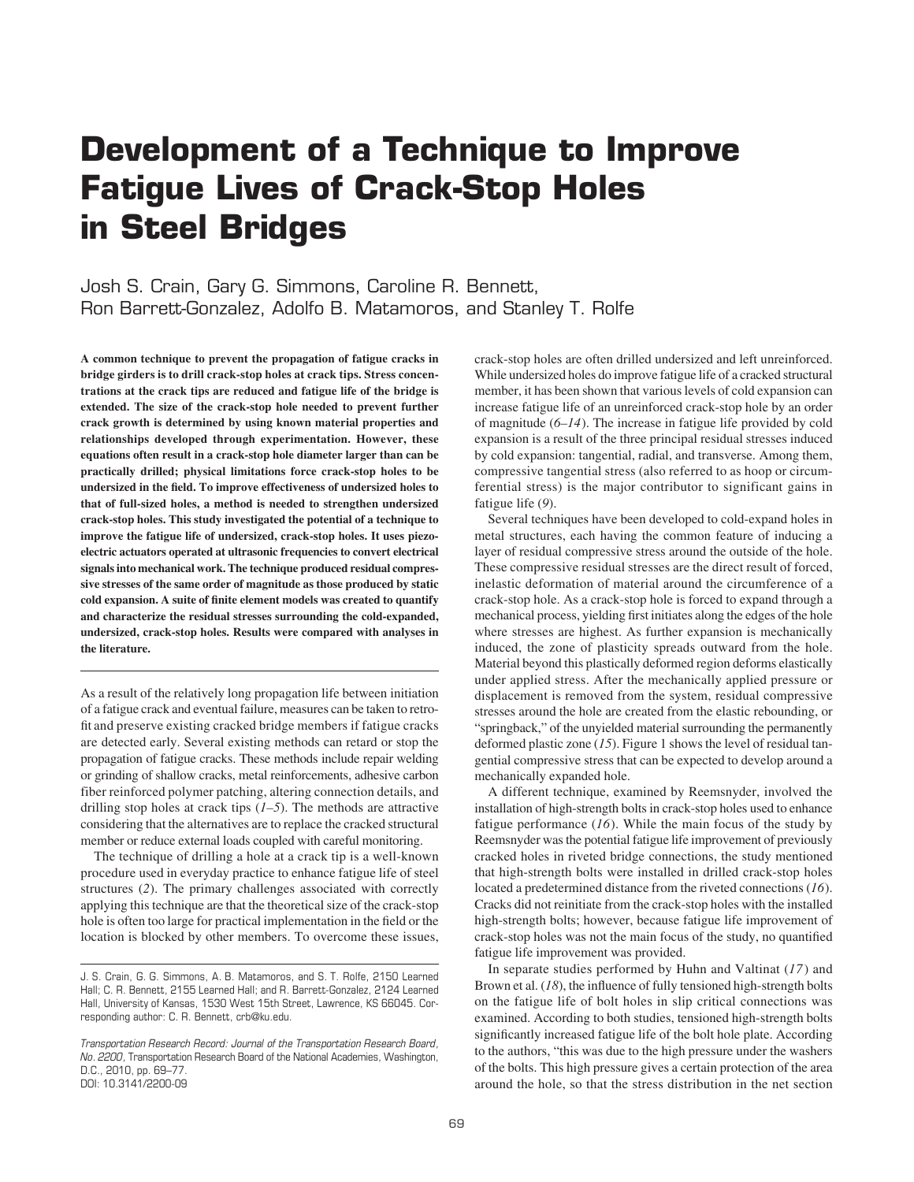# **Development of a Technique to Improve Fatigue Lives of Crack-Stop Holes in Steel Bridges**

Josh S. Crain, Gary G. Simmons, Caroline R. Bennett, Ron Barrett-Gonzalez, Adolfo B. Matamoros, and Stanley T. Rolfe

**A common technique to prevent the propagation of fatigue cracks in bridge girders is to drill crack-stop holes at crack tips. Stress concentrations at the crack tips are reduced and fatigue life of the bridge is extended. The size of the crack-stop hole needed to prevent further crack growth is determined by using known material properties and relationships developed through experimentation. However, these equations often result in a crack-stop hole diameter larger than can be practically drilled; physical limitations force crack-stop holes to be undersized in the field. To improve effectiveness of undersized holes to that of full-sized holes, a method is needed to strengthen undersized crack-stop holes. This study investigated the potential of a technique to improve the fatigue life of undersized, crack-stop holes. It uses piezoelectric actuators operated at ultrasonic frequencies to convert electrical signals into mechanical work. The technique produced residual compressive stresses of the same order of magnitude as those produced by static cold expansion. A suite of finite element models was created to quantify and characterize the residual stresses surrounding the cold-expanded, undersized, crack-stop holes. Results were compared with analyses in the literature.**

As a result of the relatively long propagation life between initiation of a fatigue crack and eventual failure, measures can be taken to retrofit and preserve existing cracked bridge members if fatigue cracks are detected early. Several existing methods can retard or stop the propagation of fatigue cracks. These methods include repair welding or grinding of shallow cracks, metal reinforcements, adhesive carbon fiber reinforced polymer patching, altering connection details, and drilling stop holes at crack tips (*1–5*). The methods are attractive considering that the alternatives are to replace the cracked structural member or reduce external loads coupled with careful monitoring.

The technique of drilling a hole at a crack tip is a well-known procedure used in everyday practice to enhance fatigue life of steel structures (*2*). The primary challenges associated with correctly applying this technique are that the theoretical size of the crack-stop hole is often too large for practical implementation in the field or the location is blocked by other members. To overcome these issues, crack-stop holes are often drilled undersized and left unreinforced. While undersized holes do improve fatigue life of a cracked structural member, it has been shown that various levels of cold expansion can increase fatigue life of an unreinforced crack-stop hole by an order of magnitude (*6–14*). The increase in fatigue life provided by cold expansion is a result of the three principal residual stresses induced by cold expansion: tangential, radial, and transverse. Among them, compressive tangential stress (also referred to as hoop or circumferential stress) is the major contributor to significant gains in fatigue life (*9*).

Several techniques have been developed to cold-expand holes in metal structures, each having the common feature of inducing a layer of residual compressive stress around the outside of the hole. These compressive residual stresses are the direct result of forced, inelastic deformation of material around the circumference of a crack-stop hole. As a crack-stop hole is forced to expand through a mechanical process, yielding first initiates along the edges of the hole where stresses are highest. As further expansion is mechanically induced, the zone of plasticity spreads outward from the hole. Material beyond this plastically deformed region deforms elastically under applied stress. After the mechanically applied pressure or displacement is removed from the system, residual compressive stresses around the hole are created from the elastic rebounding, or "springback," of the unyielded material surrounding the permanently deformed plastic zone (*15*). Figure 1 shows the level of residual tangential compressive stress that can be expected to develop around a mechanically expanded hole.

A different technique, examined by Reemsnyder, involved the installation of high-strength bolts in crack-stop holes used to enhance fatigue performance (*16*). While the main focus of the study by Reemsnyder was the potential fatigue life improvement of previously cracked holes in riveted bridge connections, the study mentioned that high-strength bolts were installed in drilled crack-stop holes located a predetermined distance from the riveted connections (*16*). Cracks did not reinitiate from the crack-stop holes with the installed high-strength bolts; however, because fatigue life improvement of crack-stop holes was not the main focus of the study, no quantified fatigue life improvement was provided.

In separate studies performed by Huhn and Valtinat (*17*) and Brown et al. (*18*), the influence of fully tensioned high-strength bolts on the fatigue life of bolt holes in slip critical connections was examined. According to both studies, tensioned high-strength bolts significantly increased fatigue life of the bolt hole plate. According to the authors, "this was due to the high pressure under the washers of the bolts. This high pressure gives a certain protection of the area around the hole, so that the stress distribution in the net section

J. S. Crain, G. G. Simmons, A. B. Matamoros, and S. T. Rolfe, 2150 Learned Hall; C. R. Bennett, 2155 Learned Hall; and R. Barrett-Gonzalez, 2124 Learned Hall, University of Kansas, 1530 West 15th Street, Lawrence, KS 66045. Corresponding author: C. R. Bennett, crb@ku.edu.

*Transportation Research Record: Journal of the Transportation Research Board, No. 2200,* Transportation Research Board of the National Academies, Washington, D.C., 2010, pp. 69–77. DOI: 10.3141/2200-09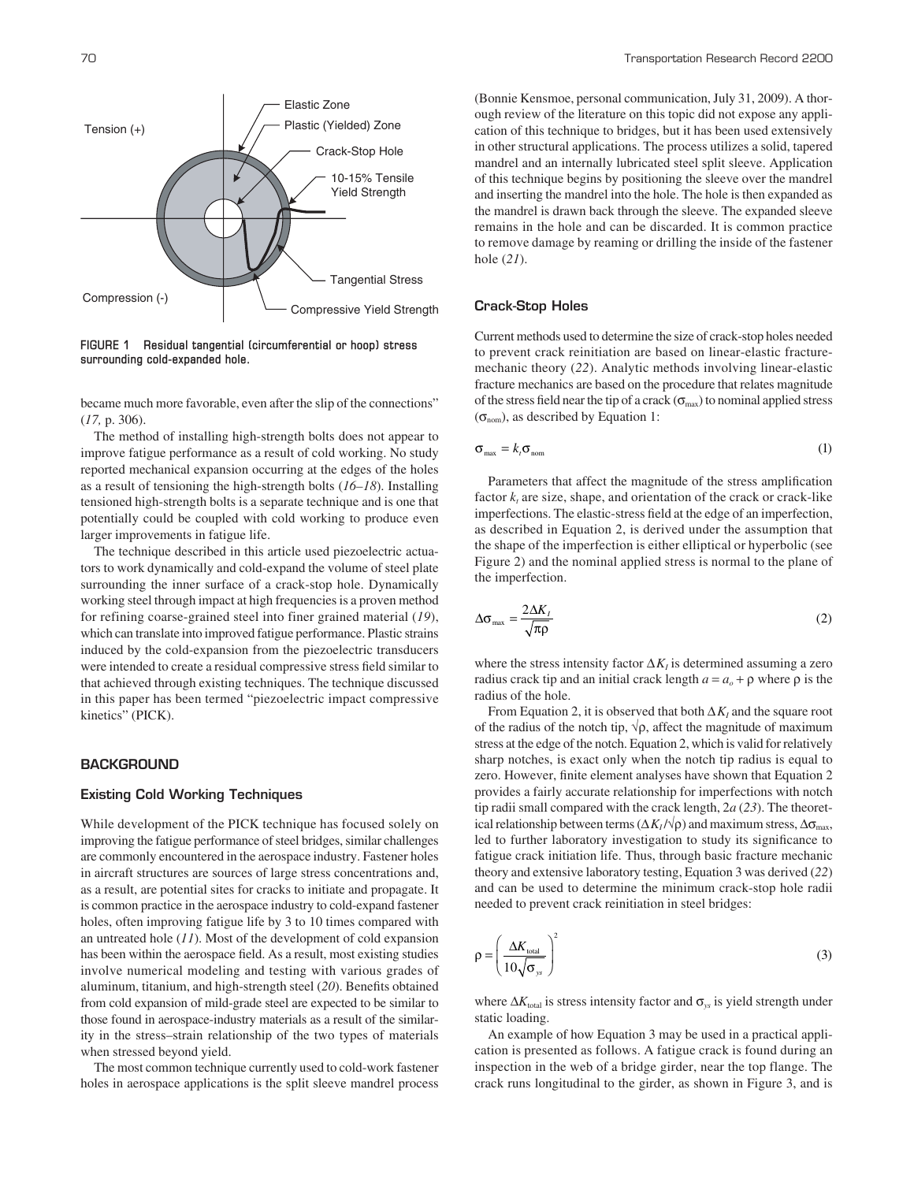

**FIGURE 1 Residual tangential (circumferential or hoop) stress surrounding cold-expanded hole.**

became much more favorable, even after the slip of the connections" (*17,* p. 306).

The method of installing high-strength bolts does not appear to improve fatigue performance as a result of cold working. No study reported mechanical expansion occurring at the edges of the holes as a result of tensioning the high-strength bolts (*16–18*). Installing tensioned high-strength bolts is a separate technique and is one that potentially could be coupled with cold working to produce even larger improvements in fatigue life.

The technique described in this article used piezoelectric actuators to work dynamically and cold-expand the volume of steel plate surrounding the inner surface of a crack-stop hole. Dynamically working steel through impact at high frequencies is a proven method for refining coarse-grained steel into finer grained material (*19*), which can translate into improved fatigue performance. Plastic strains induced by the cold-expansion from the piezoelectric transducers were intended to create a residual compressive stress field similar to that achieved through existing techniques. The technique discussed in this paper has been termed "piezoelectric impact compressive kinetics" (PICK).

## **BACKGROUND**

# **Existing Cold Working Techniques**

While development of the PICK technique has focused solely on improving the fatigue performance of steel bridges, similar challenges are commonly encountered in the aerospace industry. Fastener holes in aircraft structures are sources of large stress concentrations and, as a result, are potential sites for cracks to initiate and propagate. It is common practice in the aerospace industry to cold-expand fastener holes, often improving fatigue life by 3 to 10 times compared with an untreated hole (*11*). Most of the development of cold expansion has been within the aerospace field. As a result, most existing studies involve numerical modeling and testing with various grades of aluminum, titanium, and high-strength steel (*20*). Benefits obtained from cold expansion of mild-grade steel are expected to be similar to those found in aerospace-industry materials as a result of the similarity in the stress–strain relationship of the two types of materials when stressed beyond yield.

The most common technique currently used to cold-work fastener holes in aerospace applications is the split sleeve mandrel process

(Bonnie Kensmoe, personal communication, July 31, 2009). A thorough review of the literature on this topic did not expose any application of this technique to bridges, but it has been used extensively in other structural applications. The process utilizes a solid, tapered mandrel and an internally lubricated steel split sleeve. Application of this technique begins by positioning the sleeve over the mandrel and inserting the mandrel into the hole. The hole is then expanded as the mandrel is drawn back through the sleeve. The expanded sleeve remains in the hole and can be discarded. It is common practice to remove damage by reaming or drilling the inside of the fastener hole (*21*).

## **Crack-Stop Holes**

Current methods used to determine the size of crack-stop holes needed to prevent crack reinitiation are based on linear-elastic fracturemechanic theory (*22*). Analytic methods involving linear-elastic fracture mechanics are based on the procedure that relates magnitude of the stress field near the tip of a crack ( $\sigma_{\text{max}}$ ) to nominal applied stress  $(\sigma_{\text{nom}})$ , as described by Equation 1:

$$
\sigma_{\text{max}} = k_{\text{r}} \sigma_{\text{nom}} \tag{1}
$$

Parameters that affect the magnitude of the stress amplification factor  $k_t$  are size, shape, and orientation of the crack or crack-like imperfections. The elastic-stress field at the edge of an imperfection, as described in Equation 2, is derived under the assumption that the shape of the imperfection is either elliptical or hyperbolic (see Figure 2) and the nominal applied stress is normal to the plane of the imperfection.

$$
\Delta \sigma_{\text{max}} = \frac{2\Delta K_I}{\sqrt{\pi \rho}} \tag{2}
$$

where the stress intensity factor  $\Delta K_I$  is determined assuming a zero radius crack tip and an initial crack length  $a = a<sub>o</sub> + ρ$  where  $ρ$  is the radius of the hole.

From Equation 2, it is observed that both  $\Delta K_I$  and the square root of the radius of the notch tip,  $\sqrt{\rho}$ , affect the magnitude of maximum stress at the edge of the notch. Equation 2, which is valid for relatively sharp notches, is exact only when the notch tip radius is equal to zero. However, finite element analyses have shown that Equation 2 provides a fairly accurate relationship for imperfections with notch tip radii small compared with the crack length, 2*a* (*23*). The theoretical relationship between terms ( $\Delta K_I/\sqrt{\rho}$ ) and maximum stress,  $\Delta \sigma_{\text{max}}$ , led to further laboratory investigation to study its significance to fatigue crack initiation life. Thus, through basic fracture mechanic theory and extensive laboratory testing, Equation 3 was derived (*22*) and can be used to determine the minimum crack-stop hole radii needed to prevent crack reinitiation in steel bridges:

$$
\rho = \left(\frac{\Delta K_{\text{total}}}{10\sqrt{\sigma_{\text{ys}}}}\right)^2\tag{3}
$$

where  $\Delta K_{\text{total}}$  is stress intensity factor and  $\sigma_{\text{ys}}$  is yield strength under static loading.

An example of how Equation 3 may be used in a practical application is presented as follows. A fatigue crack is found during an inspection in the web of a bridge girder, near the top flange. The crack runs longitudinal to the girder, as shown in Figure 3, and is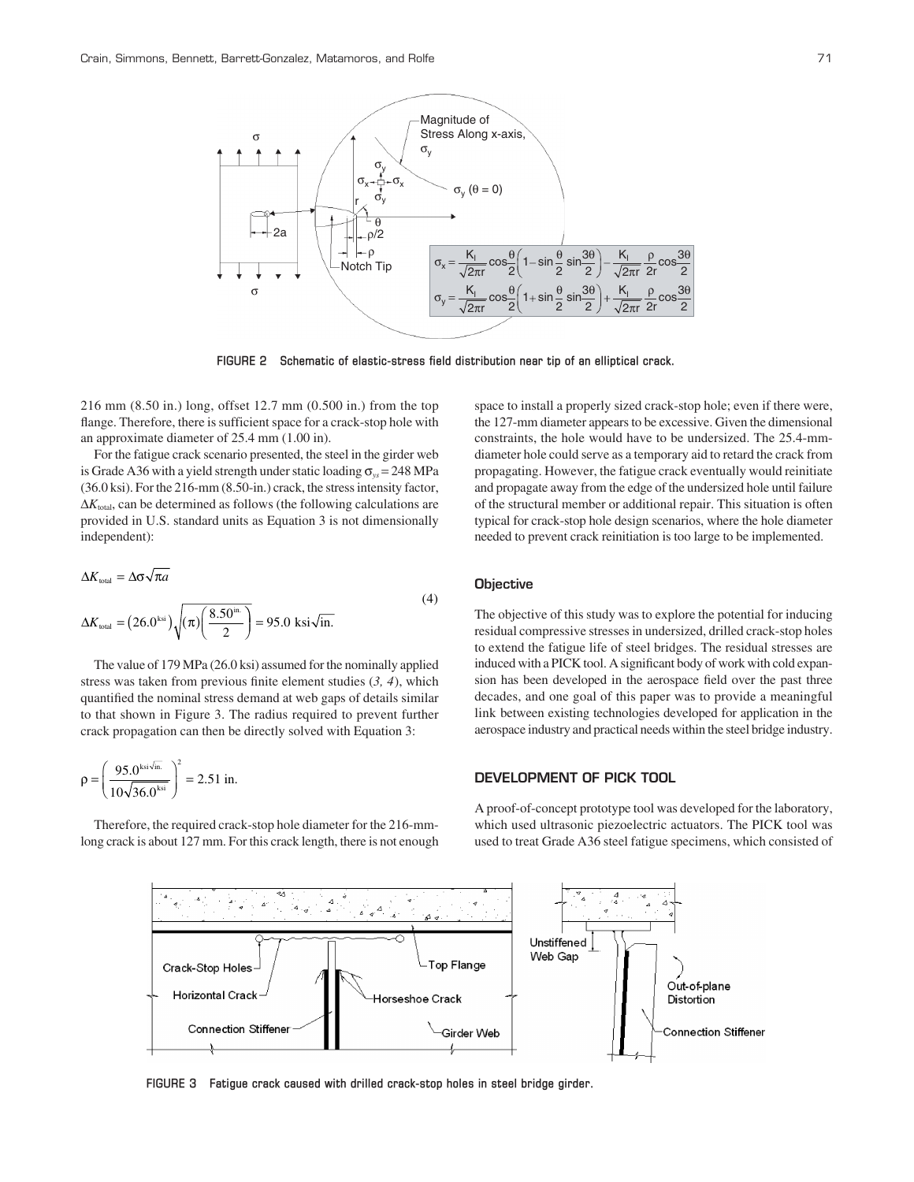

**FIGURE 2 Schematic of elastic-stress field distribution near tip of an elliptical crack.**

216 mm (8.50 in.) long, offset 12.7 mm (0.500 in.) from the top flange. Therefore, there is sufficient space for a crack-stop hole with an approximate diameter of 25.4 mm (1.00 in).

For the fatigue crack scenario presented, the steel in the girder web is Grade A36 with a yield strength under static loading σ*ys* = 248 MPa (36.0 ksi). For the 216-mm (8.50-in.) crack, the stress intensity factor,  $\Delta K_{\text{total}}$ , can be determined as follows (the following calculations are provided in U.S. standard units as Equation 3 is not dimensionally independent):

$$
\Delta K_{\text{total}} = \Delta \sigma \sqrt{\pi a}
$$
\n
$$
\Delta K_{\text{total}} = (26.0^{\text{ksi}}) \sqrt{(\pi) \left(\frac{8.50^{\text{in}}}{2}\right)} = 95.0 \text{ksi} \sqrt{\text{in}}.
$$
\n(4)

The value of 179 MPa (26.0 ksi) assumed for the nominally applied stress was taken from previous finite element studies (*3, 4*), which quantified the nominal stress demand at web gaps of details similar to that shown in Figure 3. The radius required to prevent further crack propagation can then be directly solved with Equation 3:

$$
\rho = \left(\frac{95.0^{\text{ksi}\sqrt{\text{in.}}}}{10\sqrt{36.0^{\text{ksi}}}}\right)^2 = 2.51 \text{ in.}
$$

Therefore, the required crack-stop hole diameter for the 216-mmlong crack is about 127 mm. For this crack length, there is not enough space to install a properly sized crack-stop hole; even if there were, the 127-mm diameter appears to be excessive. Given the dimensional constraints, the hole would have to be undersized. The 25.4-mmdiameter hole could serve as a temporary aid to retard the crack from propagating. However, the fatigue crack eventually would reinitiate and propagate away from the edge of the undersized hole until failure of the structural member or additional repair. This situation is often typical for crack-stop hole design scenarios, where the hole diameter needed to prevent crack reinitiation is too large to be implemented.

# **Objective**

The objective of this study was to explore the potential for inducing residual compressive stresses in undersized, drilled crack-stop holes to extend the fatigue life of steel bridges. The residual stresses are induced with a PICK tool. A significant body of work with cold expansion has been developed in the aerospace field over the past three decades, and one goal of this paper was to provide a meaningful link between existing technologies developed for application in the aerospace industry and practical needs within the steel bridge industry.

## **DEVELOPMENT OF PICK TOOL**

A proof-of-concept prototype tool was developed for the laboratory, which used ultrasonic piezoelectric actuators. The PICK tool was used to treat Grade A36 steel fatigue specimens, which consisted of



**FIGURE 3 Fatigue crack caused with drilled crack-stop holes in steel bridge girder.**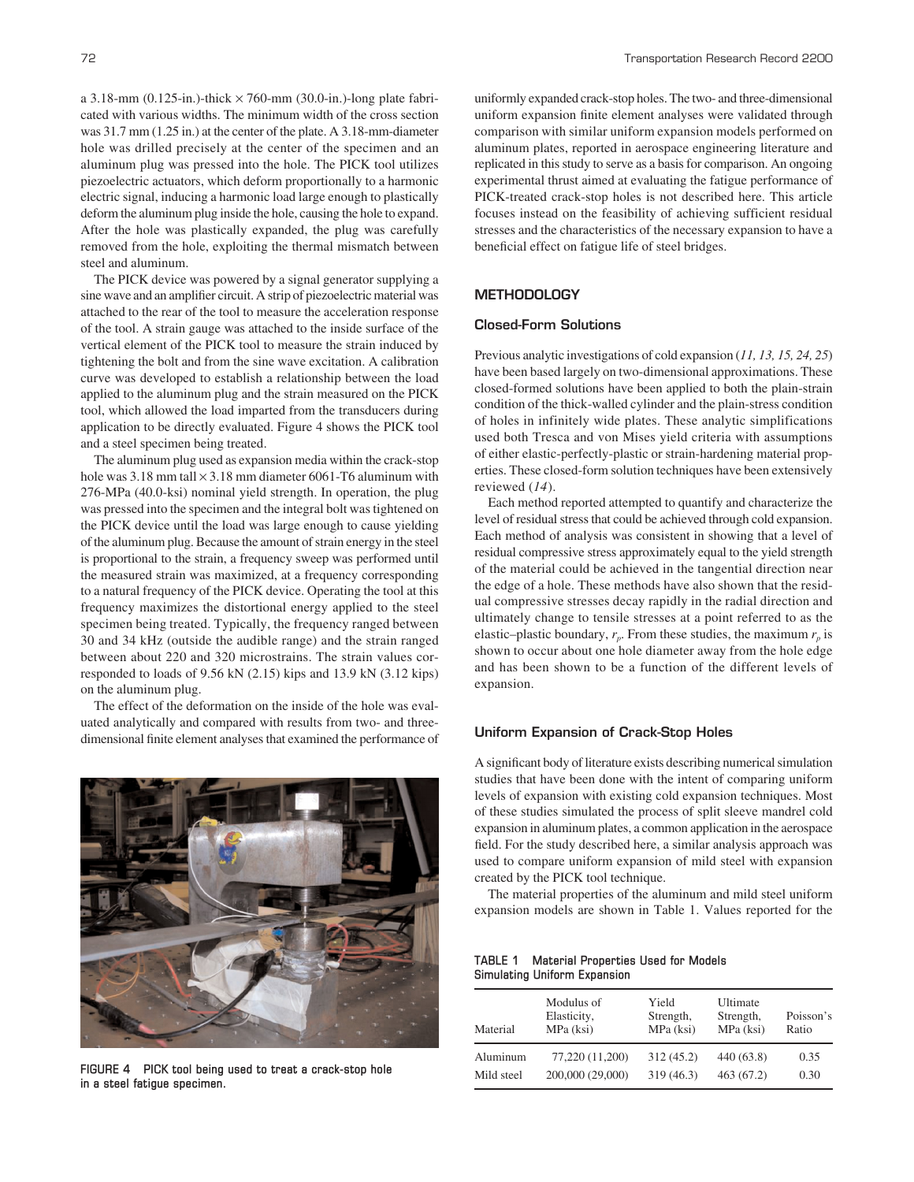a 3.18-mm (0.125-in.)-thick  $\times$  760-mm (30.0-in.)-long plate fabricated with various widths. The minimum width of the cross section was 31.7 mm (1.25 in.) at the center of the plate. A 3.18-mm-diameter hole was drilled precisely at the center of the specimen and an aluminum plug was pressed into the hole. The PICK tool utilizes piezoelectric actuators, which deform proportionally to a harmonic electric signal, inducing a harmonic load large enough to plastically deform the aluminum plug inside the hole, causing the hole to expand. After the hole was plastically expanded, the plug was carefully removed from the hole, exploiting the thermal mismatch between steel and aluminum.

The PICK device was powered by a signal generator supplying a sine wave and an amplifier circuit. A strip of piezoelectric material was attached to the rear of the tool to measure the acceleration response of the tool. A strain gauge was attached to the inside surface of the vertical element of the PICK tool to measure the strain induced by tightening the bolt and from the sine wave excitation. A calibration curve was developed to establish a relationship between the load applied to the aluminum plug and the strain measured on the PICK tool, which allowed the load imparted from the transducers during application to be directly evaluated. Figure 4 shows the PICK tool and a steel specimen being treated.

The aluminum plug used as expansion media within the crack-stop hole was  $3.18$  mm tall  $\times$  3.18 mm diameter 6061-T6 aluminum with 276-MPa (40.0-ksi) nominal yield strength. In operation, the plug was pressed into the specimen and the integral bolt was tightened on the PICK device until the load was large enough to cause yielding of the aluminum plug. Because the amount of strain energy in the steel is proportional to the strain, a frequency sweep was performed until the measured strain was maximized, at a frequency corresponding to a natural frequency of the PICK device. Operating the tool at this frequency maximizes the distortional energy applied to the steel specimen being treated. Typically, the frequency ranged between 30 and 34 kHz (outside the audible range) and the strain ranged between about 220 and 320 microstrains. The strain values corresponded to loads of 9.56 kN (2.15) kips and 13.9 kN (3.12 kips) on the aluminum plug.

The effect of the deformation on the inside of the hole was evaluated analytically and compared with results from two- and threedimensional finite element analyses that examined the performance of



**FIGURE 4 PICK tool being used to treat a crack-stop hole in a steel fatigue specimen.**

uniformly expanded crack-stop holes. The two- and three-dimensional uniform expansion finite element analyses were validated through comparison with similar uniform expansion models performed on aluminum plates, reported in aerospace engineering literature and replicated in this study to serve as a basis for comparison. An ongoing experimental thrust aimed at evaluating the fatigue performance of PICK-treated crack-stop holes is not described here. This article focuses instead on the feasibility of achieving sufficient residual stresses and the characteristics of the necessary expansion to have a beneficial effect on fatigue life of steel bridges.

# **METHODOLOGY**

## **Closed-Form Solutions**

Previous analytic investigations of cold expansion (*11, 13, 15, 24, 25*) have been based largely on two-dimensional approximations. These closed-formed solutions have been applied to both the plain-strain condition of the thick-walled cylinder and the plain-stress condition of holes in infinitely wide plates. These analytic simplifications used both Tresca and von Mises yield criteria with assumptions of either elastic-perfectly-plastic or strain-hardening material properties. These closed-form solution techniques have been extensively reviewed (*14*).

Each method reported attempted to quantify and characterize the level of residual stress that could be achieved through cold expansion. Each method of analysis was consistent in showing that a level of residual compressive stress approximately equal to the yield strength of the material could be achieved in the tangential direction near the edge of a hole. These methods have also shown that the residual compressive stresses decay rapidly in the radial direction and ultimately change to tensile stresses at a point referred to as the elastic–plastic boundary,  $r_p$ . From these studies, the maximum  $r_p$  is shown to occur about one hole diameter away from the hole edge and has been shown to be a function of the different levels of expansion.

# **Uniform Expansion of Crack-Stop Holes**

A significant body of literature exists describing numerical simulation studies that have been done with the intent of comparing uniform levels of expansion with existing cold expansion techniques. Most of these studies simulated the process of split sleeve mandrel cold expansion in aluminum plates, a common application in the aerospace field. For the study described here, a similar analysis approach was used to compare uniform expansion of mild steel with expansion created by the PICK tool technique.

The material properties of the aluminum and mild steel uniform expansion models are shown in Table 1. Values reported for the

| TABLE 1                             | <b>Material Properties Used for Models</b> |  |  |
|-------------------------------------|--------------------------------------------|--|--|
| <b>Simulating Uniform Expansion</b> |                                            |  |  |

| Material   | Modulus of<br>Elasticity,<br>MPa (ksi) | Yield<br>Strength,<br>MPa (ksi) | Ultimate<br>Strength,<br>MPa (ksi) | Poisson's<br>Ratio |
|------------|----------------------------------------|---------------------------------|------------------------------------|--------------------|
| Aluminum   | 77,220 (11,200)                        | 312(45.2)                       | 440 (63.8)                         | 0.35               |
| Mild steel | 200,000 (29,000)                       | 319(46.3)                       | 463 (67.2)                         | 0.30               |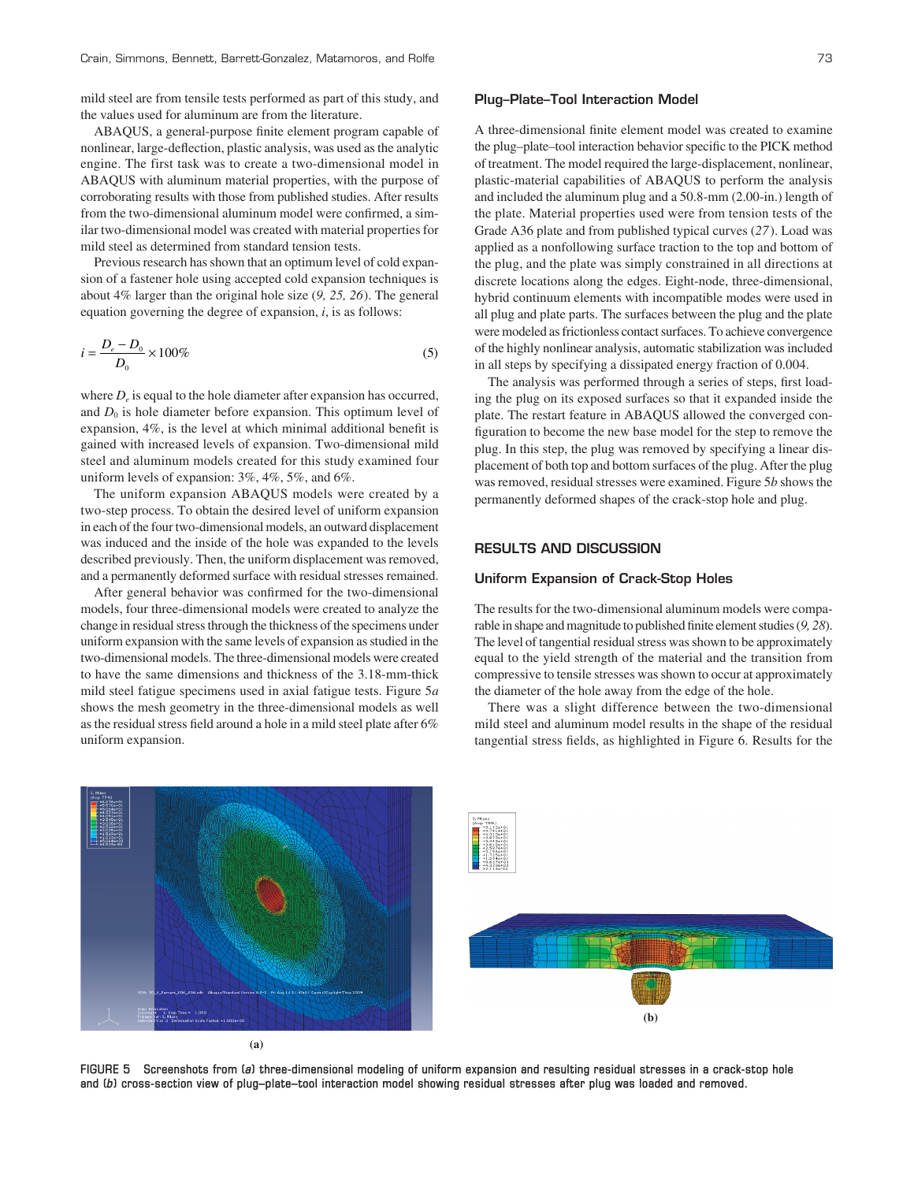mild steel are from tensile tests performed as part of this study, and the values used for aluminum are from the literature.

# ABAQUS, a general-purpose finite element program capable of nonlinear, large-deflection, plastic analysis, was used as the analytic engine. The first task was to create a two-dimensional model in ABAQUS with aluminum material properties, with the purpose of corroborating results with those from published studies. After results from the two-dimensional aluminum model were confirmed, a similar two-dimensional model was created with material properties for mild steel as determined from standard tension tests.

Previous research has shown that an optimum level of cold expansion of a fastener hole using accepted cold expansion techniques is about 4% larger than the original hole size (*9, 25, 26*). The general equation governing the degree of expansion, *i*, is as follows:

$$
i = \frac{D_e - D_0}{D_0} \times 100\%
$$
\n(5)

where  $D_e$  is equal to the hole diameter after expansion has occurred, and  $D_0$  is hole diameter before expansion. This optimum level of expansion, 4%, is the level at which minimal additional benefit is gained with increased levels of expansion. Two-dimensional mild steel and aluminum models created for this study examined four uniform levels of expansion: 3%, 4%, 5%, and 6%.

The uniform expansion ABAQUS models were created by a two-step process. To obtain the desired level of uniform expansion in each of the four two-dimensional models, an outward displacement was induced and the inside of the hole was expanded to the levels described previously. Then, the uniform displacement was removed, and a permanently deformed surface with residual stresses remained.

After general behavior was confirmed for the two-dimensional models, four three-dimensional models were created to analyze the change in residual stress through the thickness of the specimens under uniform expansion with the same levels of expansion as studied in the two-dimensional models. The three-dimensional models were created to have the same dimensions and thickness of the 3.18-mm-thick mild steel fatigue specimens used in axial fatigue tests. Figure 5*a* shows the mesh geometry in the three-dimensional models as well as the residual stress field around a hole in a mild steel plate after 6% uniform expansion.

## **Plug–Plate–Tool Interaction Model**

A three-dimensional finite element model was created to examine the plug–plate–tool interaction behavior specific to the PICK method of treatment. The model required the large-displacement, nonlinear, plastic-material capabilities of ABAQUS to perform the analysis and included the aluminum plug and a 50.8-mm (2.00-in.) length of the plate. Material properties used were from tension tests of the Grade A36 plate and from published typical curves (*27*). Load was applied as a nonfollowing surface traction to the top and bottom of the plug, and the plate was simply constrained in all directions at discrete locations along the edges. Eight-node, three-dimensional, hybrid continuum elements with incompatible modes were used in all plug and plate parts. The surfaces between the plug and the plate were modeled as frictionless contact surfaces. To achieve convergence of the highly nonlinear analysis, automatic stabilization was included in all steps by specifying a dissipated energy fraction of 0.004.

The analysis was performed through a series of steps, first loading the plug on its exposed surfaces so that it expanded inside the plate. The restart feature in ABAQUS allowed the converged configuration to become the new base model for the step to remove the plug. In this step, the plug was removed by specifying a linear displacement of both top and bottom surfaces of the plug. After the plug was removed, residual stresses were examined. Figure 5*b* shows the permanently deformed shapes of the crack-stop hole and plug.

# **RESULTS AND DISCUSSION**

#### **Uniform Expansion of Crack-Stop Holes**

The results for the two-dimensional aluminum models were comparable in shape and magnitude to published finite element studies (*9, 28*). The level of tangential residual stress was shown to be approximately equal to the yield strength of the material and the transition from compressive to tensile stresses was shown to occur at approximately the diameter of the hole away from the edge of the hole.

There was a slight difference between the two-dimensional mild steel and aluminum model results in the shape of the residual tangential stress fields, as highlighted in Figure 6. Results for the



**(b)**

**FIGURE 5 Screenshots from (***a***) three-dimensional modeling of uniform expansion and resulting residual stresses in a crack-stop hole and (***b***) cross-section view of plug–plate–tool interaction model showing residual stresses after plug was loaded and removed.**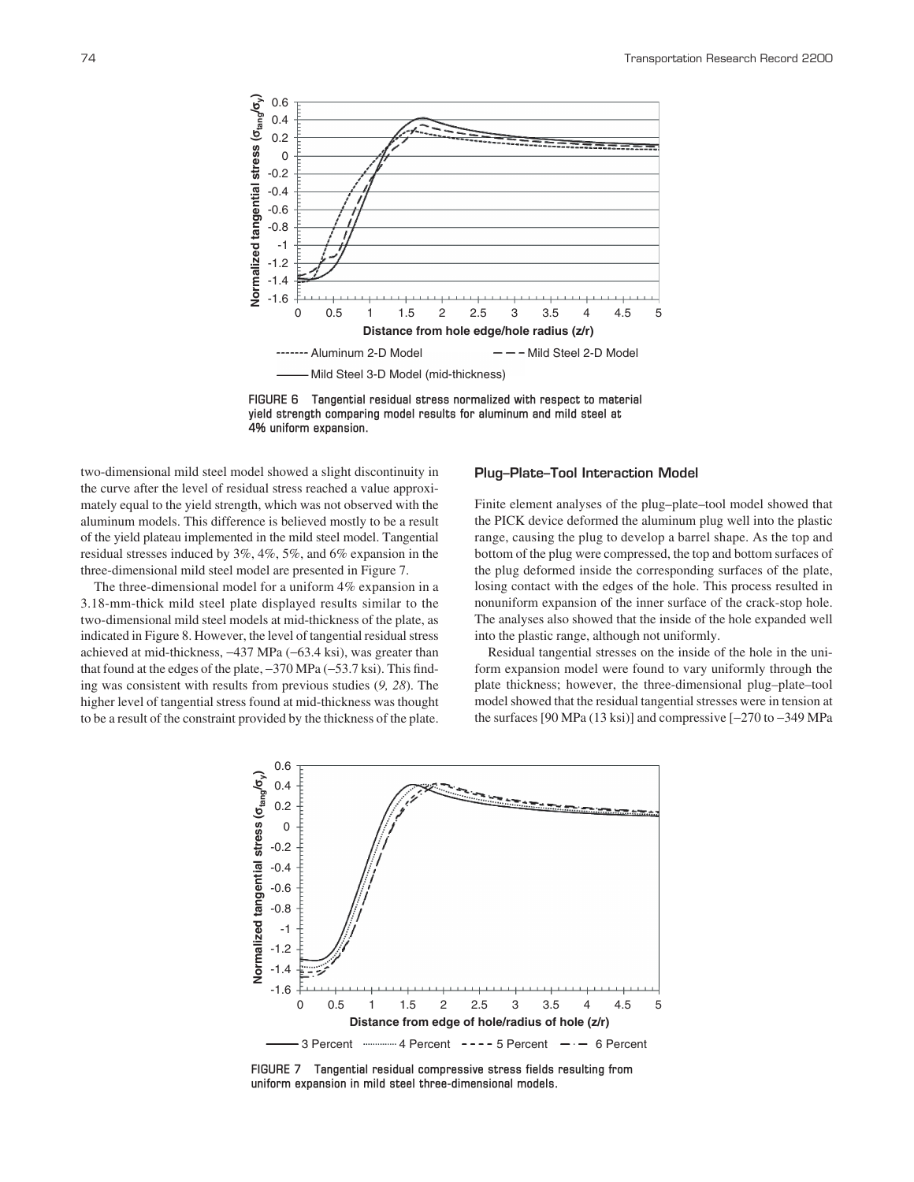



two-dimensional mild steel model showed a slight discontinuity in the curve after the level of residual stress reached a value approximately equal to the yield strength, which was not observed with the aluminum models. This difference is believed mostly to be a result of the yield plateau implemented in the mild steel model. Tangential residual stresses induced by 3%, 4%, 5%, and 6% expansion in the three-dimensional mild steel model are presented in Figure 7.

The three-dimensional model for a uniform 4% expansion in a 3.18-mm-thick mild steel plate displayed results similar to the two-dimensional mild steel models at mid-thickness of the plate, as indicated in Figure 8. However, the level of tangential residual stress achieved at mid-thickness, −437 MPa (−63.4 ksi), was greater than that found at the edges of the plate, −370 MPa (−53.7 ksi). This finding was consistent with results from previous studies (*9, 28*). The higher level of tangential stress found at mid-thickness was thought to be a result of the constraint provided by the thickness of the plate.

## **Plug–Plate–Tool Interaction Model**

Finite element analyses of the plug–plate–tool model showed that the PICK device deformed the aluminum plug well into the plastic range, causing the plug to develop a barrel shape. As the top and bottom of the plug were compressed, the top and bottom surfaces of the plug deformed inside the corresponding surfaces of the plate, losing contact with the edges of the hole. This process resulted in nonuniform expansion of the inner surface of the crack-stop hole. The analyses also showed that the inside of the hole expanded well into the plastic range, although not uniformly.

Residual tangential stresses on the inside of the hole in the uniform expansion model were found to vary uniformly through the plate thickness; however, the three-dimensional plug–plate–tool model showed that the residual tangential stresses were in tension at the surfaces [90 MPa (13 ksi)] and compressive [−270 to −349 MPa



**FIGURE 7 Tangential residual compressive stress fields resulting from uniform expansion in mild steel three-dimensional models.**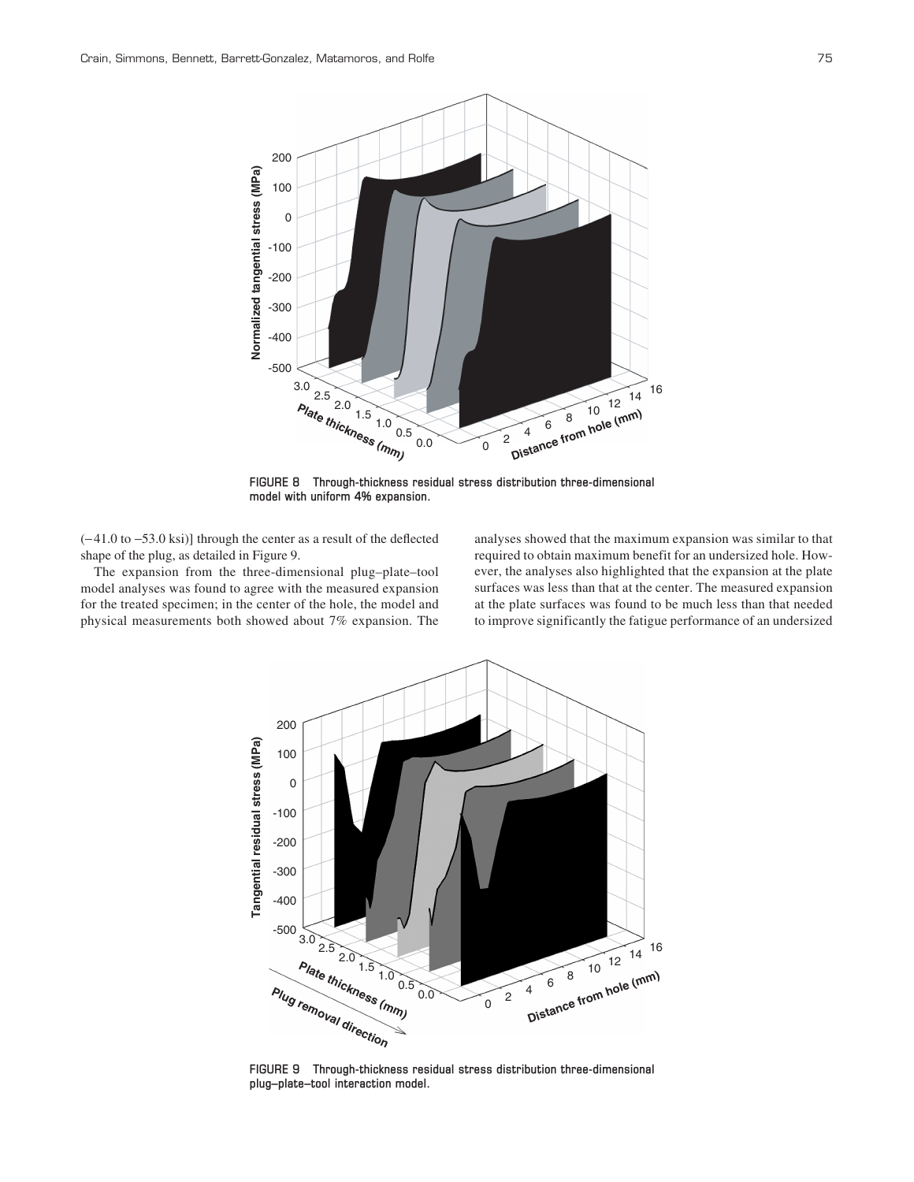

**FIGURE 8 Through-thickness residual stress distribution three-dimensional model with uniform 4% expansion.**

(−41.0 to −53.0 ksi)] through the center as a result of the deflected shape of the plug, as detailed in Figure 9.

The expansion from the three-dimensional plug–plate–tool model analyses was found to agree with the measured expansion for the treated specimen; in the center of the hole, the model and physical measurements both showed about 7% expansion. The

analyses showed that the maximum expansion was similar to that required to obtain maximum benefit for an undersized hole. However, the analyses also highlighted that the expansion at the plate surfaces was less than that at the center. The measured expansion at the plate surfaces was found to be much less than that needed to improve significantly the fatigue performance of an undersized



**FIGURE 9 Through-thickness residual stress distribution three-dimensional plug–plate–tool interaction model.**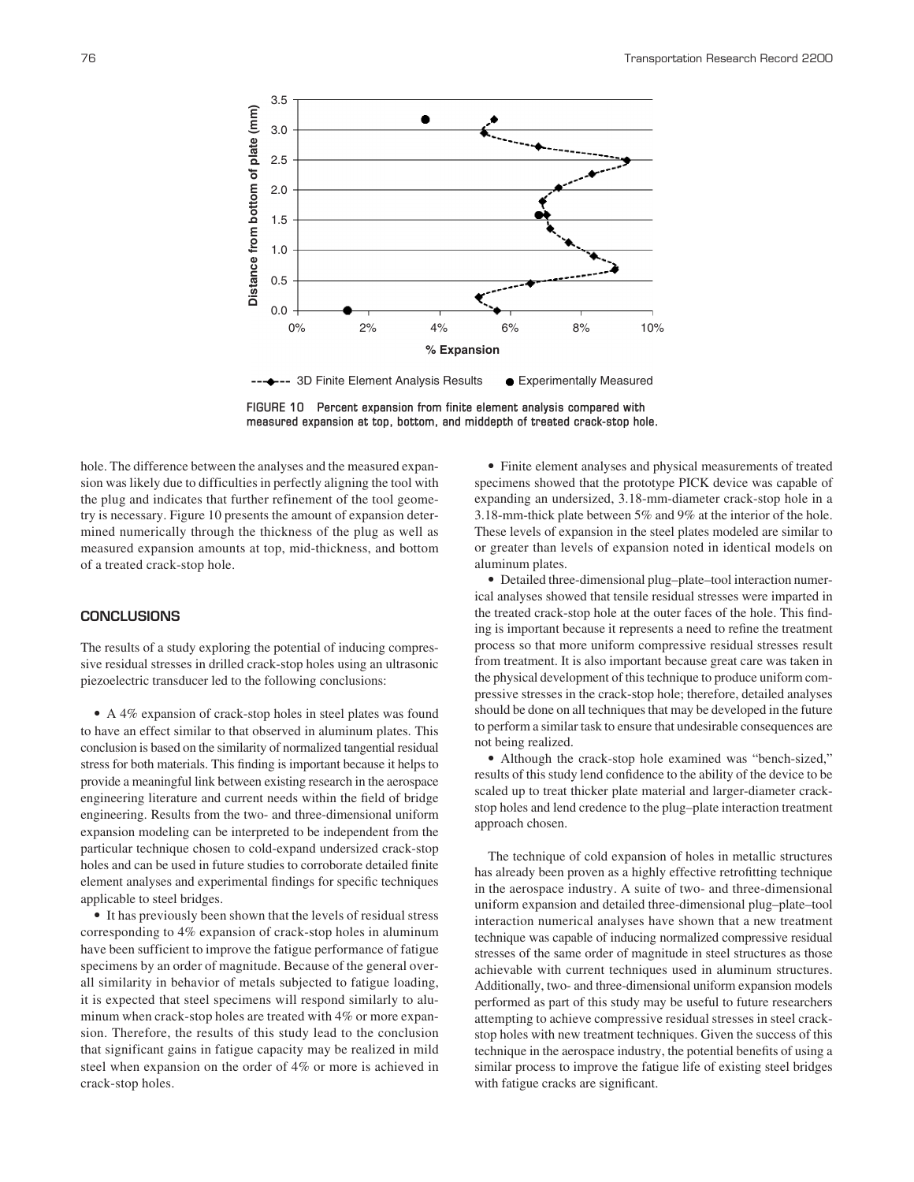

**FIGURE 10 Percent expansion from finite element analysis compared with measured expansion at top, bottom, and middepth of treated crack-stop hole.**

hole. The difference between the analyses and the measured expansion was likely due to difficulties in perfectly aligning the tool with the plug and indicates that further refinement of the tool geometry is necessary. Figure 10 presents the amount of expansion determined numerically through the thickness of the plug as well as measured expansion amounts at top, mid-thickness, and bottom of a treated crack-stop hole.

# **CONCLUSIONS**

The results of a study exploring the potential of inducing compressive residual stresses in drilled crack-stop holes using an ultrasonic piezoelectric transducer led to the following conclusions:

• A 4% expansion of crack-stop holes in steel plates was found to have an effect similar to that observed in aluminum plates. This conclusion is based on the similarity of normalized tangential residual stress for both materials. This finding is important because it helps to provide a meaningful link between existing research in the aerospace engineering literature and current needs within the field of bridge engineering. Results from the two- and three-dimensional uniform expansion modeling can be interpreted to be independent from the particular technique chosen to cold-expand undersized crack-stop holes and can be used in future studies to corroborate detailed finite element analyses and experimental findings for specific techniques applicable to steel bridges.

• It has previously been shown that the levels of residual stress corresponding to 4% expansion of crack-stop holes in aluminum have been sufficient to improve the fatigue performance of fatigue specimens by an order of magnitude. Because of the general overall similarity in behavior of metals subjected to fatigue loading, it is expected that steel specimens will respond similarly to aluminum when crack-stop holes are treated with 4% or more expansion. Therefore, the results of this study lead to the conclusion that significant gains in fatigue capacity may be realized in mild steel when expansion on the order of 4% or more is achieved in crack-stop holes.

• Finite element analyses and physical measurements of treated specimens showed that the prototype PICK device was capable of expanding an undersized, 3.18-mm-diameter crack-stop hole in a 3.18-mm-thick plate between 5% and 9% at the interior of the hole. These levels of expansion in the steel plates modeled are similar to or greater than levels of expansion noted in identical models on aluminum plates.

• Detailed three-dimensional plug–plate–tool interaction numerical analyses showed that tensile residual stresses were imparted in the treated crack-stop hole at the outer faces of the hole. This finding is important because it represents a need to refine the treatment process so that more uniform compressive residual stresses result from treatment. It is also important because great care was taken in the physical development of this technique to produce uniform compressive stresses in the crack-stop hole; therefore, detailed analyses should be done on all techniques that may be developed in the future to perform a similar task to ensure that undesirable consequences are not being realized.

• Although the crack-stop hole examined was "bench-sized," results of this study lend confidence to the ability of the device to be scaled up to treat thicker plate material and larger-diameter crackstop holes and lend credence to the plug–plate interaction treatment approach chosen.

The technique of cold expansion of holes in metallic structures has already been proven as a highly effective retrofitting technique in the aerospace industry. A suite of two- and three-dimensional uniform expansion and detailed three-dimensional plug–plate–tool interaction numerical analyses have shown that a new treatment technique was capable of inducing normalized compressive residual stresses of the same order of magnitude in steel structures as those achievable with current techniques used in aluminum structures. Additionally, two- and three-dimensional uniform expansion models performed as part of this study may be useful to future researchers attempting to achieve compressive residual stresses in steel crackstop holes with new treatment techniques. Given the success of this technique in the aerospace industry, the potential benefits of using a similar process to improve the fatigue life of existing steel bridges with fatigue cracks are significant.